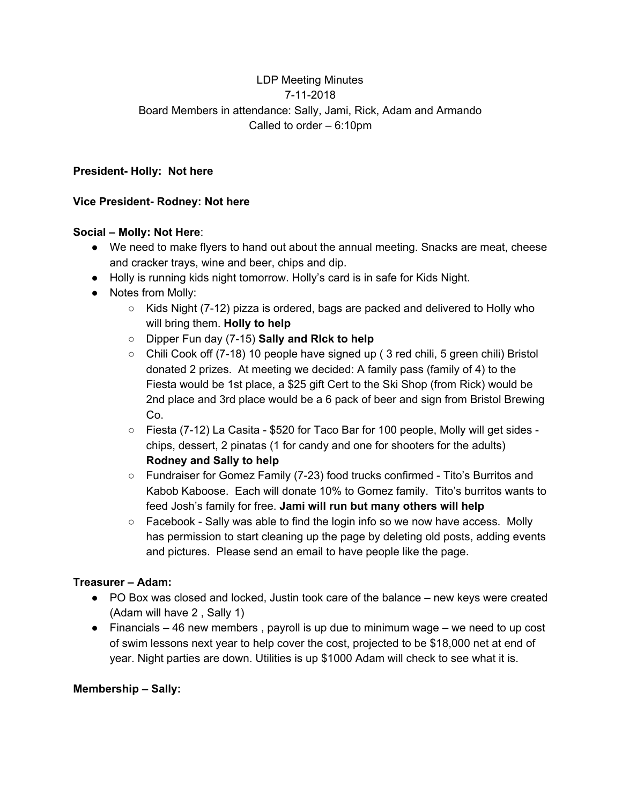# LDP Meeting Minutes 7-11-2018 Board Members in attendance: Sally, Jami, Rick, Adam and Armando Called to order – 6:10pm

#### **President- Holly: Not here**

## **Vice President- Rodney: Not here**

#### **Social – Molly: Not Here**:

- We need to make flyers to hand out about the annual meeting. Snacks are meat, cheese and cracker trays, wine and beer, chips and dip.
- Holly is running kids night tomorrow. Holly's card is in safe for Kids Night.
- Notes from Molly:
	- $\circ$  Kids Night (7-12) pizza is ordered, bags are packed and delivered to Holly who will bring them. **Holly to help**
	- Dipper Fun day (7-15) **Sally and RIck to help**
	- $\circ$  Chili Cook off (7-18) 10 people have signed up (3 red chili, 5 green chili) Bristol donated 2 prizes. At meeting we decided: A family pass (family of 4) to the Fiesta would be 1st place, a \$25 gift Cert to the Ski Shop (from Rick) would be 2nd place and 3rd place would be a 6 pack of beer and sign from Bristol Brewing Co.
	- Fiesta (7-12) La Casita \$520 for Taco Bar for 100 people, Molly will get sides chips, dessert, 2 pinatas (1 for candy and one for shooters for the adults) **Rodney and Sally to help**
	- Fundraiser for Gomez Family (7-23) food trucks confirmed Tito's Burritos and Kabob Kaboose. Each will donate 10% to Gomez family. Tito's burritos wants to feed Josh's family for free. **Jami will run but many others will help**
	- $\circ$  Facebook Sally was able to find the login info so we now have access. Molly has permission to start cleaning up the page by deleting old posts, adding events and pictures. Please send an email to have people like the page.

## **Treasurer – Adam:**

- PO Box was closed and locked, Justin took care of the balance new keys were created (Adam will have 2 , Sally 1)
- $\bullet$  Financials 46 new members, payroll is up due to minimum wage we need to up cost of swim lessons next year to help cover the cost, projected to be \$18,000 net at end of year. Night parties are down. Utilities is up \$1000 Adam will check to see what it is.

## **Membership – Sally:**